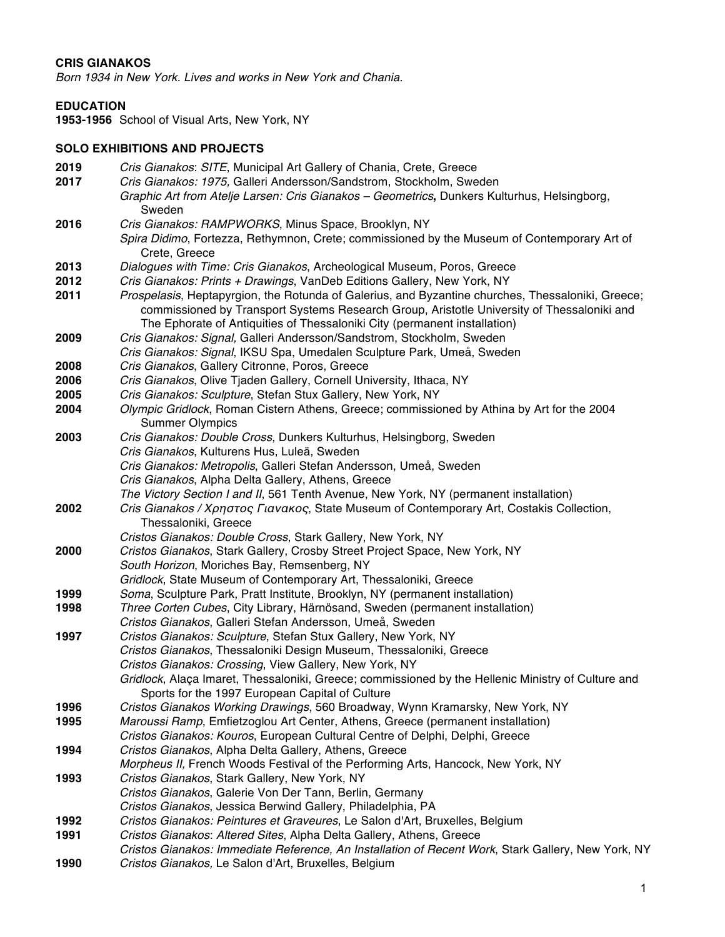#### **CRIS GIANAKOS**

*Born 1934 in New York. Lives and works in New York and Chania.*

#### **EDUCATION**

**1953-1956** School of Visual Arts, New York, NY

#### **SOLO EXHIBITIONS AND PROJECTS**

- **2019** *Cris Gianakos*: *SITE*, Municipal Art Gallery of Chania, Crete, Greece **2017** *Cris Gianakos: 1975,* Galleri Andersson/Sandstrom, Stockholm, Sweden *Graphic Art from Atelje Larsen: Cris Gianakos – Geometrics***,** Dunkers Kulturhus, Helsingborg, Sweden **2016** *Cris Gianakos: RAMPWORKS*, Minus Space, Brooklyn, NY *Spira Didimo*, Fortezza, Rethymnon, Crete; commissioned by the Museum of Contemporary Art of Crete, Greece **2013** *Dialogues with Time: Cris Gianakos*, Archeological Museum, Poros, Greece **2012** *Cris Gianakos: Prints + Drawings*, VanDeb Editions Gallery, New York, NY **2011** *Prospelasis*, Heptapyrgion, the Rotunda of Galerius, and Byzantine churches, Thessaloniki, Greece; commissioned by Transport Systems Research Group, Aristotle University of Thessaloniki and The Ephorate of Antiquities of Thessaloniki City (permanent installation) **2009** *Cris Gianakos: Signal,* Galleri Andersson/Sandstrom, Stockholm, Sweden *Cris Gianakos: Signal*, IKSU Spa, Umedalen Sculpture Park, Umeå, Sweden **2008** *Cris Gianakos*, Gallery Citronne, Poros, Greece **2006** *Cris Gianakos*, Olive Tjaden Gallery, Cornell University, Ithaca, NY **2005** *Cris Gianakos: Sculpture*, Stefan Stux Gallery, New York, NY **2004** *Olympic Gridlock*, Roman Cistern Athens, Greece; commissioned by Athina by Art for the 2004 Summer Olympics **2003** *Cris Gianakos: Double Cross*, Dunkers Kulturhus, Helsingborg, Sweden *Cris Gianakos*, Kulturens Hus, Luleä, Sweden *Cris Gianakos: Metropolis*, Galleri Stefan Andersson, Umeå, Sweden *Cris Gianakos*, Alpha Delta Gallery, Athens, Greece *The Victory Section I and II*, 561 Tenth Avenue, New York, NY (permanent installation) **2002** *Cris Gianakos /* Χρηστος Γιανακος, State Museum of Contemporary Art, Costakis Collection, Thessaloniki, Greece *Cristos Gianakos: Double Cross*, Stark Gallery, New York, NY **2000** *Cristos Gianakos*, Stark Gallery, Crosby Street Project Space, New York, NY *South Horizon*, Moriches Bay, Remsenberg, NY *Gridlock*, State Museum of Contemporary Art, Thessaloniki, Greece **1999** *Soma*, Sculpture Park, Pratt Institute, Brooklyn, NY (permanent installation) **1998** *Three Corten Cubes*, City Library, Härnösand, Sweden (permanent installation) *Cristos Gianakos*, Galleri Stefan Andersson, Umeå, Sweden **1997** *Cristos Gianakos: Sculpture*, Stefan Stux Gallery, New York, NY *Cristos Gianakos*, Thessaloniki Design Museum, Thessaloniki, Greece *Cristos Gianakos: Crossing*, View Gallery, New York, NY *Gridlock*, Alaça Imaret, Thessaloniki, Greece; commissioned by the Hellenic Ministry of Culture and Sports for the 1997 European Capital of Culture **1996** *Cristos Gianakos Working Drawings*, 560 Broadway, Wynn Kramarsky, New York, NY **1995** *Maroussi Ramp*, Emfietzoglou Art Center, Athens, Greece (permanent installation) *Cristos Gianakos: Kouros*, European Cultural Centre of Delphi, Delphi, Greece **1994** *Cristos Gianakos*, Alpha Delta Gallery, Athens, Greece *Morpheus II,* French Woods Festival of the Performing Arts, Hancock, New York, NY **1993** *Cristos Gianakos*, Stark Gallery, New York, NY *Cristos Gianakos*, Galerie Von Der Tann, Berlin, Germany *Cristos Gianakos*, Jessica Berwind Gallery, Philadelphia, PA **1992** *Cristos Gianakos: Peintures et Graveures*, Le Salon d'Art, Bruxelles, Belgium **1991** *Cristos Gianakos*: *Altered Sites*, Alpha Delta Gallery, Athens, Greece *Cristos Gianakos: Immediate Reference, An Installation of Recent Work*, Stark Gallery, New York, NY
- **1990** *Cristos Gianakos,* Le Salon d'Art, Bruxelles, Belgium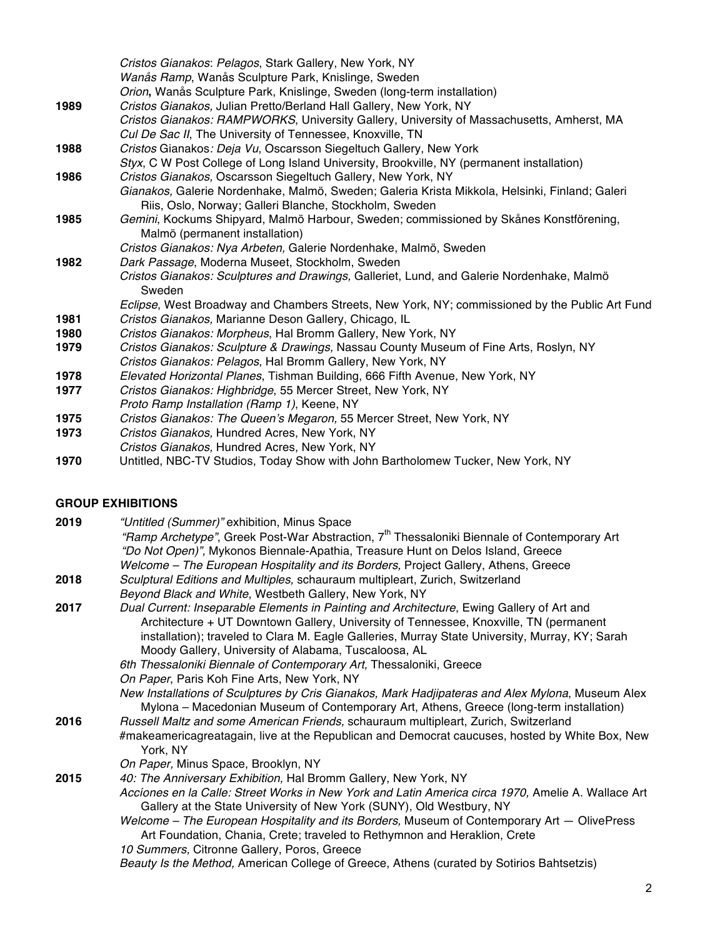|      | Cristos Gianakos: Pelagos, Stark Gallery, New York, NY<br>Wanås Ramp, Wanås Sculpture Park, Knislinge, Sweden                                            |
|------|----------------------------------------------------------------------------------------------------------------------------------------------------------|
|      | Orion, Wanås Sculpture Park, Knislinge, Sweden (long-term installation)                                                                                  |
| 1989 | Cristos Gianakos, Julian Pretto/Berland Hall Gallery, New York, NY                                                                                       |
|      | Cristos Gianakos: RAMPWORKS, University Gallery, University of Massachusetts, Amherst, MA                                                                |
|      | Cul De Sac II, The University of Tennessee, Knoxville, TN                                                                                                |
| 1988 | Cristos Gianakos: Deja Vu, Oscarsson Siegeltuch Gallery, New York                                                                                        |
|      | Styx, C W Post College of Long Island University, Brookville, NY (permanent installation)                                                                |
| 1986 | Cristos Gianakos, Oscarsson Siegeltuch Gallery, New York, NY                                                                                             |
|      | Gianakos, Galerie Nordenhake, Malmö, Sweden; Galeria Krista Mikkola, Helsinki, Finland; Galeri<br>Riis, Oslo, Norway; Galleri Blanche, Stockholm, Sweden |
| 1985 | Gemini, Kockums Shipyard, Malmö Harbour, Sweden; commissioned by Skånes Konstförening,<br>Malmö (permanent installation)                                 |
|      | Cristos Gianakos: Nya Arbeten, Galerie Nordenhake, Malmö, Sweden                                                                                         |
| 1982 | Dark Passage, Moderna Museet, Stockholm, Sweden                                                                                                          |
|      | Cristos Gianakos: Sculptures and Drawings, Galleriet, Lund, and Galerie Nordenhake, Malmö<br>Sweden                                                      |
|      | Eclipse, West Broadway and Chambers Streets, New York, NY; commissioned by the Public Art Fund                                                           |
| 1981 | Cristos Gianakos, Marianne Deson Gallery, Chicago, IL                                                                                                    |
| 1980 | Cristos Gianakos: Morpheus, Hal Bromm Gallery, New York, NY                                                                                              |
| 1979 | Cristos Gianakos: Sculpture & Drawings, Nassau County Museum of Fine Arts, Roslyn, NY                                                                    |
|      | Cristos Gianakos: Pelagos, Hal Bromm Gallery, New York, NY                                                                                               |
| 1978 | Elevated Horizontal Planes, Tishman Building, 666 Fifth Avenue, New York, NY                                                                             |
| 1977 | Cristos Gianakos: Highbridge, 55 Mercer Street, New York, NY                                                                                             |
|      | Proto Ramp Installation (Ramp 1), Keene, NY                                                                                                              |
| 1975 | Cristos Gianakos: The Queen's Megaron, 55 Mercer Street, New York, NY                                                                                    |
| 1973 | Cristos Gianakos, Hundred Acres, New York, NY                                                                                                            |
|      | Cristos Gianakos, Hundred Acres, New York, NY                                                                                                            |
|      |                                                                                                                                                          |

**1970** Untitled, NBC-TV Studios, Today Show with John Bartholomew Tucker, New York, NY

## **GROUP EXHIBITIONS**

| 2019 | "Untitled (Summer)" exhibition, Minus Space                                                                                                                                                 |
|------|---------------------------------------------------------------------------------------------------------------------------------------------------------------------------------------------|
|      | "Ramp Archetype", Greek Post-War Abstraction, 7 <sup>th</sup> Thessaloniki Biennale of Contemporary Art                                                                                     |
|      | "Do Not Open)", Mykonos Biennale-Apathia, Treasure Hunt on Delos Island, Greece                                                                                                             |
|      | Welcome – The European Hospitality and its Borders, Project Gallery, Athens, Greece                                                                                                         |
| 2018 | Sculptural Editions and Multiples, schauraum multipleart, Zurich, Switzerland                                                                                                               |
|      | Beyond Black and White, Westbeth Gallery, New York, NY                                                                                                                                      |
| 2017 | Dual Current: Inseparable Elements in Painting and Architecture, Ewing Gallery of Art and                                                                                                   |
|      | Architecture + UT Downtown Gallery, University of Tennessee, Knoxville, TN (permanent                                                                                                       |
|      | installation); traveled to Clara M. Eagle Galleries, Murray State University, Murray, KY; Sarah                                                                                             |
|      | Moody Gallery, University of Alabama, Tuscaloosa, AL                                                                                                                                        |
|      | 6th Thessaloniki Biennale of Contemporary Art, Thessaloniki, Greece                                                                                                                         |
|      | On Paper, Paris Koh Fine Arts, New York, NY                                                                                                                                                 |
|      | New Installations of Sculptures by Cris Gianakos, Mark Hadjipateras and Alex Mylona, Museum Alex<br>Mylona - Macedonian Museum of Contemporary Art, Athens, Greece (long-term installation) |
| 2016 | Russell Maltz and some American Friends, schauraum multipleart, Zurich, Switzerland                                                                                                         |
|      | #makeamericagreatagain, live at the Republican and Democrat caucuses, hosted by White Box, New<br>York, NY                                                                                  |
|      | On Paper, Minus Space, Brooklyn, NY                                                                                                                                                         |
| 2015 | 40: The Anniversary Exhibition, Hal Bromm Gallery, New York, NY                                                                                                                             |
|      | Accíones en la Calle: Street Works in New York and Latin America circa 1970, Amelie A. Wallace Art<br>Gallery at the State University of New York (SUNY), Old Westbury, NY                  |
|      | Welcome – The European Hospitality and its Borders, Museum of Contemporary Art – OlivePress                                                                                                 |
|      | Art Foundation, Chania, Crete; traveled to Rethymnon and Heraklion, Crete                                                                                                                   |
|      | 10 Summers, Citronne Gallery, Poros, Greece                                                                                                                                                 |
|      | Beauty Is the Method, American College of Greece, Athens (curated by Sotirios Bahtsetzis)                                                                                                   |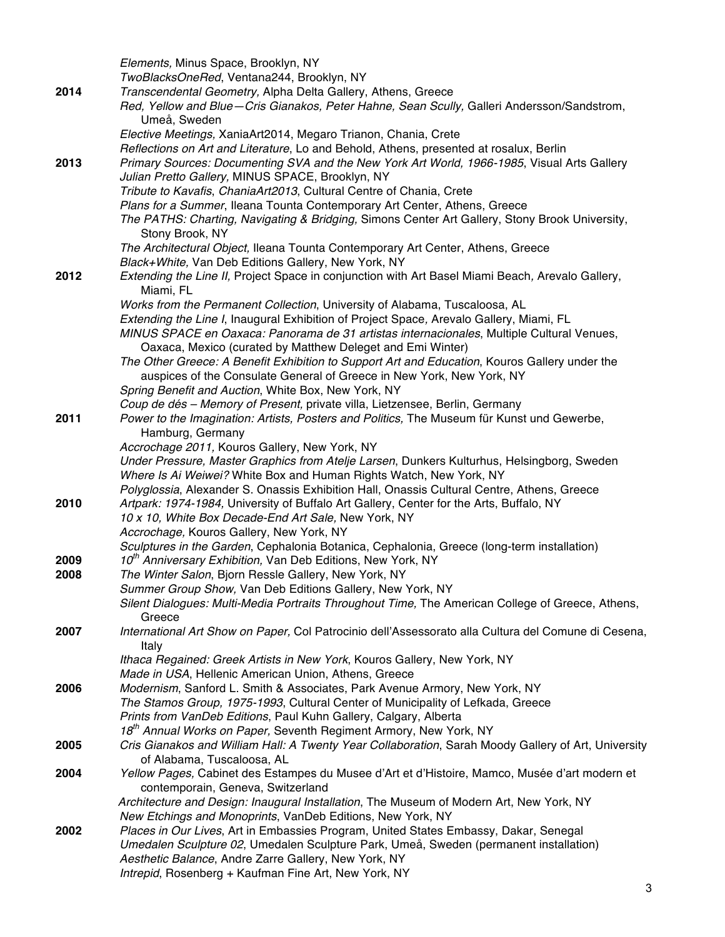|      | Elements, Minus Space, Brooklyn, NY                                                                                                                           |
|------|---------------------------------------------------------------------------------------------------------------------------------------------------------------|
|      | TwoBlacksOneRed, Ventana244, Brooklyn, NY                                                                                                                     |
| 2014 | Transcendental Geometry, Alpha Delta Gallery, Athens, Greece                                                                                                  |
|      | Red, Yellow and Blue-Cris Gianakos, Peter Hahne, Sean Scully, Galleri Andersson/Sandstrom,                                                                    |
|      | Umeå, Sweden                                                                                                                                                  |
|      | Elective Meetings, XaniaArt2014, Megaro Trianon, Chania, Crete                                                                                                |
|      | Reflections on Art and Literature, Lo and Behold, Athens, presented at rosalux, Berlin                                                                        |
| 2013 | Primary Sources: Documenting SVA and the New York Art World, 1966-1985, Visual Arts Gallery                                                                   |
|      | Julian Pretto Gallery, MINUS SPACE, Brooklyn, NY                                                                                                              |
|      | Tribute to Kavafis, ChaniaArt2013, Cultural Centre of Chania, Crete                                                                                           |
|      | Plans for a Summer, Ileana Tounta Contemporary Art Center, Athens, Greece                                                                                     |
|      | The PATHS: Charting, Navigating & Bridging, Simons Center Art Gallery, Stony Brook University,                                                                |
|      | Stony Brook, NY                                                                                                                                               |
|      | The Architectural Object, Ileana Tounta Contemporary Art Center, Athens, Greece                                                                               |
|      | Black+White, Van Deb Editions Gallery, New York, NY                                                                                                           |
| 2012 | Extending the Line II, Project Space in conjunction with Art Basel Miami Beach, Arevalo Gallery,                                                              |
|      | Miami, FL                                                                                                                                                     |
|      | Works from the Permanent Collection, University of Alabama, Tuscaloosa, AL                                                                                    |
|      | Extending the Line I, Inaugural Exhibition of Project Space, Arevalo Gallery, Miami, FL                                                                       |
|      | MINUS SPACE en Oaxaca: Panorama de 31 artistas internacionales, Multiple Cultural Venues,                                                                     |
|      | Oaxaca, Mexico (curated by Matthew Deleget and Emi Winter)                                                                                                    |
|      | The Other Greece: A Benefit Exhibition to Support Art and Education, Kouros Gallery under the                                                                 |
|      | auspices of the Consulate General of Greece in New York, New York, NY                                                                                         |
|      | Spring Benefit and Auction, White Box, New York, NY                                                                                                           |
|      | Coup de dés - Memory of Present, private villa, Lietzensee, Berlin, Germany                                                                                   |
| 2011 | Power to the Imagination: Artists, Posters and Politics, The Museum für Kunst und Gewerbe,                                                                    |
|      | Hamburg, Germany                                                                                                                                              |
|      | Accrochage 2011, Kouros Gallery, New York, NY                                                                                                                 |
|      | Under Pressure, Master Graphics from Atelje Larsen, Dunkers Kulturhus, Helsingborg, Sweden                                                                    |
|      | Where Is Ai Weiwei? White Box and Human Rights Watch, New York, NY                                                                                            |
|      | Polyglossia, Alexander S. Onassis Exhibition Hall, Onassis Cultural Centre, Athens, Greece                                                                    |
| 2010 | Artpark: 1974-1984, University of Buffalo Art Gallery, Center for the Arts, Buffalo, NY                                                                       |
|      | 10 x 10, White Box Decade-End Art Sale, New York, NY                                                                                                          |
|      | Accrochage, Kouros Gallery, New York, NY                                                                                                                      |
|      | Sculptures in the Garden, Cephalonia Botanica, Cephalonia, Greece (long-term installation)                                                                    |
| 2009 | 10 <sup>th</sup> Anniversary Exhibition, Van Deb Editions, New York, NY                                                                                       |
| 2008 | The Winter Salon, Bjorn Ressle Gallery, New York, NY                                                                                                          |
|      | Summer Group Show, Van Deb Editions Gallery, New York, NY                                                                                                     |
|      | Silent Dialogues: Multi-Media Portraits Throughout Time, The American College of Greece, Athens,                                                              |
|      | Greece                                                                                                                                                        |
| 2007 | International Art Show on Paper, Col Patrocinio dell'Assessorato alla Cultura del Comune di Cesena,                                                           |
|      | Italy                                                                                                                                                         |
|      | Ithaca Regained: Greek Artists in New York, Kouros Gallery, New York, NY                                                                                      |
|      | Made in USA, Hellenic American Union, Athens, Greece                                                                                                          |
| 2006 | Modernism, Sanford L. Smith & Associates, Park Avenue Armory, New York, NY<br>The Stamos Group, 1975-1993, Cultural Center of Municipality of Lefkada, Greece |
|      | Prints from VanDeb Editions, Paul Kuhn Gallery, Calgary, Alberta                                                                                              |
|      | 18 <sup>th</sup> Annual Works on Paper, Seventh Regiment Armory, New York, NY                                                                                 |
| 2005 | Cris Gianakos and William Hall: A Twenty Year Collaboration, Sarah Moody Gallery of Art, University                                                           |
|      | of Alabama, Tuscaloosa, AL                                                                                                                                    |
| 2004 | Yellow Pages, Cabinet des Estampes du Musee d'Art et d'Histoire, Mamco, Musée d'art modern et                                                                 |
|      | contemporain, Geneva, Switzerland                                                                                                                             |
|      | Architecture and Design: Inaugural Installation, The Museum of Modern Art, New York, NY                                                                       |
|      | New Etchings and Monoprints, VanDeb Editions, New York, NY                                                                                                    |
| 2002 | Places in Our Lives, Art in Embassies Program, United States Embassy, Dakar, Senegal                                                                          |
|      | Umedalen Sculpture 02, Umedalen Sculpture Park, Umeå, Sweden (permanent installation)                                                                         |
|      | Aesthetic Balance, Andre Zarre Gallery, New York, NY                                                                                                          |
|      | Intrepid, Rosenberg + Kaufman Fine Art, New York, NY                                                                                                          |
|      |                                                                                                                                                               |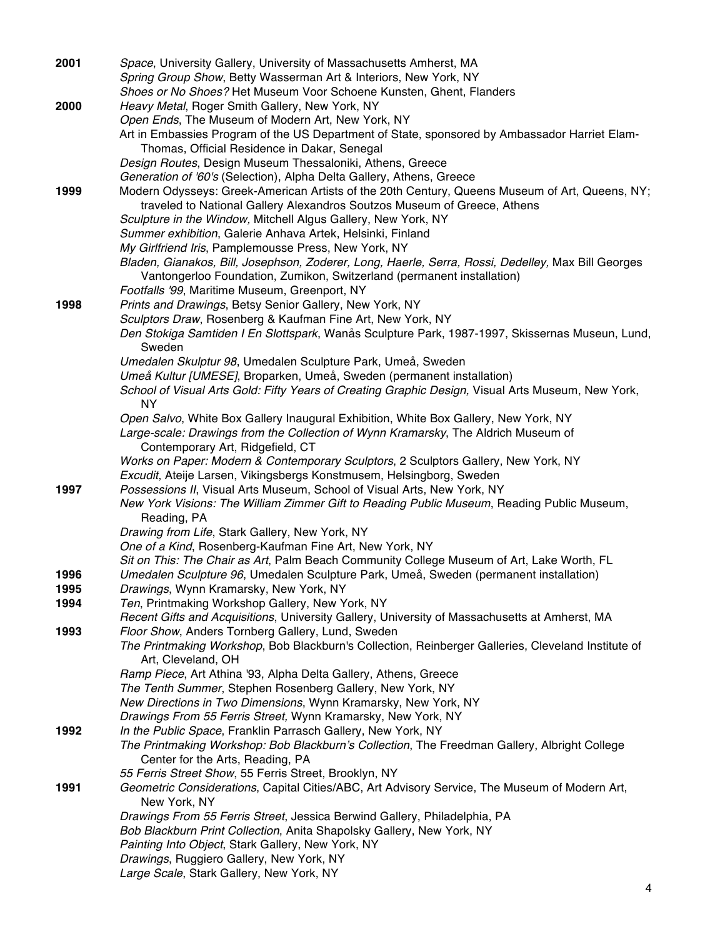| 2001 | Space, University Gallery, University of Massachusetts Amherst, MA                                                             |
|------|--------------------------------------------------------------------------------------------------------------------------------|
|      | Spring Group Show, Betty Wasserman Art & Interiors, New York, NY                                                               |
|      | Shoes or No Shoes? Het Museum Voor Schoene Kunsten, Ghent, Flanders                                                            |
| 2000 | Heavy Metal, Roger Smith Gallery, New York, NY                                                                                 |
|      | Open Ends, The Museum of Modern Art, New York, NY                                                                              |
|      | Art in Embassies Program of the US Department of State, sponsored by Ambassador Harriet Elam-                                  |
|      | Thomas, Official Residence in Dakar, Senegal                                                                                   |
|      | Design Routes, Design Museum Thessaloniki, Athens, Greece                                                                      |
|      | Generation of '60's (Selection), Alpha Delta Gallery, Athens, Greece                                                           |
| 1999 | Modern Odysseys: Greek-American Artists of the 20th Century, Queens Museum of Art, Queens, NY;                                 |
|      | traveled to National Gallery Alexandros Soutzos Museum of Greece, Athens                                                       |
|      | Sculpture in the Window, Mitchell Algus Gallery, New York, NY                                                                  |
|      | Summer exhibition, Galerie Anhava Artek, Helsinki, Finland                                                                     |
|      | My Girlfriend Iris, Pamplemousse Press, New York, NY                                                                           |
|      | Bladen, Gianakos, Bill, Josephson, Zoderer, Long, Haerle, Serra, Rossi, Dedelley, Max Bill Georges                             |
|      | Vantongerloo Foundation, Zumikon, Switzerland (permanent installation)                                                         |
|      | Footfalls '99, Maritime Museum, Greenport, NY                                                                                  |
| 1998 | Prints and Drawings, Betsy Senior Gallery, New York, NY                                                                        |
|      | Sculptors Draw, Rosenberg & Kaufman Fine Art, New York, NY                                                                     |
|      | Den Stokiga Samtiden I En Slottspark, Wanås Sculpture Park, 1987-1997, Skissernas Museun, Lund,                                |
|      | Sweden                                                                                                                         |
|      | Umedalen Skulptur 98, Umedalen Sculpture Park, Umeå, Sweden                                                                    |
|      | Umeå Kultur [UMESE], Broparken, Umeå, Sweden (permanent installation)                                                          |
|      | School of Visual Arts Gold: Fifty Years of Creating Graphic Design, Visual Arts Museum, New York,                              |
|      | <b>NY</b>                                                                                                                      |
|      | Open Salvo, White Box Gallery Inaugural Exhibition, White Box Gallery, New York, NY                                            |
|      | Large-scale: Drawings from the Collection of Wynn Kramarsky, The Aldrich Museum of                                             |
|      | Contemporary Art, Ridgefield, CT                                                                                               |
|      | Works on Paper: Modern & Contemporary Sculptors, 2 Sculptors Gallery, New York, NY                                             |
|      | Excudit, Ateije Larsen, Vikingsbergs Konstmusem, Helsingborg, Sweden                                                           |
| 1997 | Possessions II, Visual Arts Museum, School of Visual Arts, New York, NY                                                        |
|      | New York Visions: The William Zimmer Gift to Reading Public Museum, Reading Public Museum,                                     |
|      | Reading, PA                                                                                                                    |
|      | Drawing from Life, Stark Gallery, New York, NY                                                                                 |
|      | One of a Kind, Rosenberg-Kaufman Fine Art, New York, NY                                                                        |
|      | Sit on This: The Chair as Art, Palm Beach Community College Museum of Art, Lake Worth, FL                                      |
| 1996 | Umedalen Sculpture 96, Umedalen Sculpture Park, Umeå, Sweden (permanent installation)                                          |
| 1995 | Drawings, Wynn Kramarsky, New York, NY                                                                                         |
| 1994 | Ten, Printmaking Workshop Gallery, New York, NY                                                                                |
|      | Recent Gifts and Acquisitions, University Gallery, University of Massachusetts at Amherst, MA                                  |
| 1993 | Floor Show, Anders Tornberg Gallery, Lund, Sweden                                                                              |
|      | The Printmaking Workshop, Bob Blackburn's Collection, Reinberger Galleries, Cleveland Institute of                             |
|      | Art, Cleveland, OH                                                                                                             |
|      | Ramp Piece, Art Athina '93, Alpha Delta Gallery, Athens, Greece                                                                |
|      | The Tenth Summer, Stephen Rosenberg Gallery, New York, NY                                                                      |
|      | New Directions in Two Dimensions, Wynn Kramarsky, New York, NY<br>Drawings From 55 Ferris Street, Wynn Kramarsky, New York, NY |
| 1992 | In the Public Space, Franklin Parrasch Gallery, New York, NY                                                                   |
|      | The Printmaking Workshop: Bob Blackburn's Collection, The Freedman Gallery, Albright College                                   |
|      | Center for the Arts, Reading, PA                                                                                               |
|      | 55 Ferris Street Show, 55 Ferris Street, Brooklyn, NY                                                                          |
| 1991 | Geometric Considerations, Capital Cities/ABC, Art Advisory Service, The Museum of Modern Art,                                  |
|      | New York, NY                                                                                                                   |
|      | Drawings From 55 Ferris Street, Jessica Berwind Gallery, Philadelphia, PA                                                      |
|      | Bob Blackburn Print Collection, Anita Shapolsky Gallery, New York, NY                                                          |
|      | Painting Into Object, Stark Gallery, New York, NY                                                                              |
|      | Drawings, Ruggiero Gallery, New York, NY                                                                                       |
|      | Large Scale, Stark Gallery, New York, NY                                                                                       |
|      |                                                                                                                                |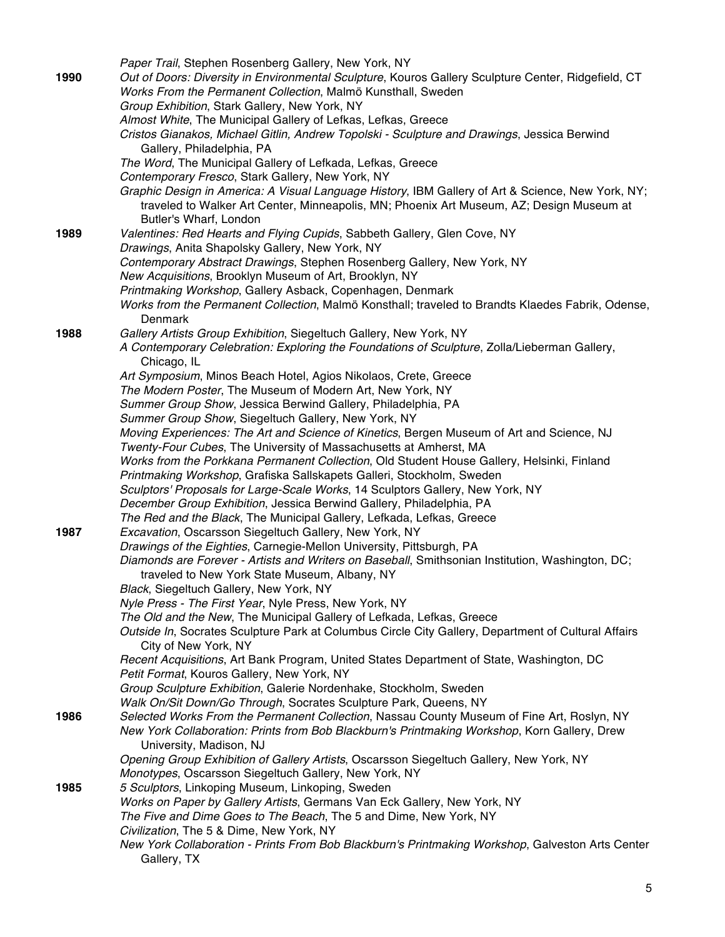|      | Paper Trail, Stephen Rosenberg Gallery, New York, NY                                                                                                           |
|------|----------------------------------------------------------------------------------------------------------------------------------------------------------------|
| 1990 | Out of Doors: Diversity in Environmental Sculpture, Kouros Gallery Sculpture Center, Ridgefield, CT                                                            |
|      | Works From the Permanent Collection, Malmö Kunsthall, Sweden                                                                                                   |
|      | Group Exhibition, Stark Gallery, New York, NY                                                                                                                  |
|      | Almost White, The Municipal Gallery of Lefkas, Lefkas, Greece                                                                                                  |
|      | Cristos Gianakos, Michael Gitlin, Andrew Topolski - Sculpture and Drawings, Jessica Berwind                                                                    |
|      | Gallery, Philadelphia, PA                                                                                                                                      |
|      | The Word, The Municipal Gallery of Lefkada, Lefkas, Greece                                                                                                     |
|      | Contemporary Fresco, Stark Gallery, New York, NY                                                                                                               |
|      | Graphic Design in America: A Visual Language History, IBM Gallery of Art & Science, New York, NY;                                                              |
|      | traveled to Walker Art Center, Minneapolis, MN; Phoenix Art Museum, AZ; Design Museum at                                                                       |
|      | Butler's Wharf, London                                                                                                                                         |
| 1989 | Valentines: Red Hearts and Flying Cupids, Sabbeth Gallery, Glen Cove, NY                                                                                       |
|      | Drawings, Anita Shapolsky Gallery, New York, NY                                                                                                                |
|      | Contemporary Abstract Drawings, Stephen Rosenberg Gallery, New York, NY                                                                                        |
|      | New Acquisitions, Brooklyn Museum of Art, Brooklyn, NY                                                                                                         |
|      | Printmaking Workshop, Gallery Asback, Copenhagen, Denmark                                                                                                      |
|      | Works from the Permanent Collection, Malmö Konsthall; traveled to Brandts Klaedes Fabrik, Odense,                                                              |
|      | Denmark                                                                                                                                                        |
| 1988 | Gallery Artists Group Exhibition, Siegeltuch Gallery, New York, NY                                                                                             |
|      | A Contemporary Celebration: Exploring the Foundations of Sculpture, Zolla/Lieberman Gallery,                                                                   |
|      | Chicago, IL                                                                                                                                                    |
|      | Art Symposium, Minos Beach Hotel, Agios Nikolaos, Crete, Greece                                                                                                |
|      | The Modern Poster, The Museum of Modern Art, New York, NY                                                                                                      |
|      | Summer Group Show, Jessica Berwind Gallery, Philadelphia, PA                                                                                                   |
|      | Summer Group Show, Siegeltuch Gallery, New York, NY                                                                                                            |
|      | Moving Experiences: The Art and Science of Kinetics, Bergen Museum of Art and Science, NJ<br>Twenty-Four Cubes, The University of Massachusetts at Amherst, MA |
|      | Works from the Porkkana Permanent Collection, Old Student House Gallery, Helsinki, Finland                                                                     |
|      | Printmaking Workshop, Grafiska Sallskapets Galleri, Stockholm, Sweden                                                                                          |
|      | Sculptors' Proposals for Large-Scale Works, 14 Sculptors Gallery, New York, NY                                                                                 |
|      | December Group Exhibition, Jessica Berwind Gallery, Philadelphia, PA                                                                                           |
|      | The Red and the Black, The Municipal Gallery, Lefkada, Lefkas, Greece                                                                                          |
| 1987 | Excavation, Oscarsson Siegeltuch Gallery, New York, NY                                                                                                         |
|      | Drawings of the Eighties, Carnegie-Mellon University, Pittsburgh, PA                                                                                           |
|      | Diamonds are Forever - Artists and Writers on Baseball, Smithsonian Institution, Washington, DC;                                                               |
|      | traveled to New York State Museum, Albany, NY                                                                                                                  |
|      | Black, Siegeltuch Gallery, New York, NY                                                                                                                        |
|      | Nyle Press - The First Year, Nyle Press, New York, NY                                                                                                          |
|      | The Old and the New, The Municipal Gallery of Lefkada, Lefkas, Greece                                                                                          |
|      | Outside In, Socrates Sculpture Park at Columbus Circle City Gallery, Department of Cultural Affairs                                                            |
|      | City of New York, NY                                                                                                                                           |
|      | Recent Acquisitions, Art Bank Program, United States Department of State, Washington, DC                                                                       |
|      | Petit Format, Kouros Gallery, New York, NY                                                                                                                     |
|      | Group Sculpture Exhibition, Galerie Nordenhake, Stockholm, Sweden                                                                                              |
|      | Walk On/Sit Down/Go Through, Socrates Sculpture Park, Queens, NY                                                                                               |
| 1986 | Selected Works From the Permanent Collection, Nassau County Museum of Fine Art, Roslyn, NY                                                                     |
|      | New York Collaboration: Prints from Bob Blackburn's Printmaking Workshop, Korn Gallery, Drew                                                                   |
|      | University, Madison, NJ<br>Opening Group Exhibition of Gallery Artists, Oscarsson Siegeltuch Gallery, New York, NY                                             |
|      | Monotypes, Oscarsson Siegeltuch Gallery, New York, NY                                                                                                          |
| 1985 | 5 Sculptors, Linkoping Museum, Linkoping, Sweden                                                                                                               |
|      | Works on Paper by Gallery Artists, Germans Van Eck Gallery, New York, NY                                                                                       |
|      | The Five and Dime Goes to The Beach, The 5 and Dime, New York, NY                                                                                              |
|      | Civilization, The 5 & Dime, New York, NY                                                                                                                       |
|      | New York Collaboration - Prints From Bob Blackburn's Printmaking Workshop, Galveston Arts Center                                                               |
|      | Gallery, TX                                                                                                                                                    |
|      |                                                                                                                                                                |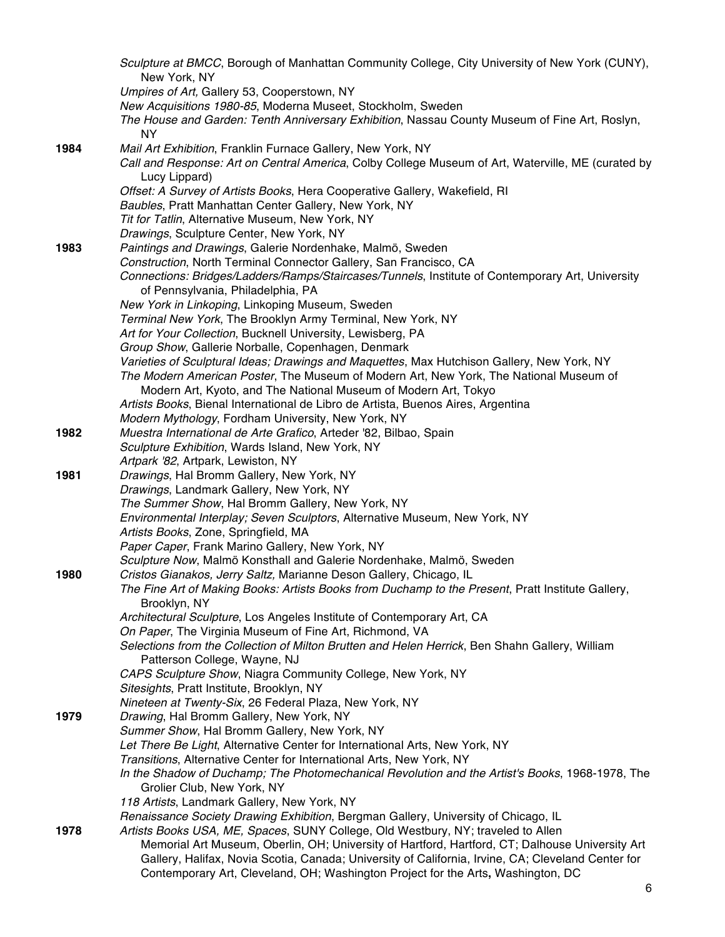|      | Sculpture at BMCC, Borough of Manhattan Community College, City University of New York (CUNY),<br>New York, NY                                            |
|------|-----------------------------------------------------------------------------------------------------------------------------------------------------------|
|      | Umpires of Art, Gallery 53, Cooperstown, NY                                                                                                               |
|      | New Acquisitions 1980-85, Moderna Museet, Stockholm, Sweden                                                                                               |
|      | The House and Garden: Tenth Anniversary Exhibition, Nassau County Museum of Fine Art, Roslyn,<br><b>NY</b>                                                |
| 1984 | Mail Art Exhibition, Franklin Furnace Gallery, New York, NY                                                                                               |
|      | Call and Response: Art on Central America, Colby College Museum of Art, Waterville, ME (curated by<br>Lucy Lippard)                                       |
|      | Offset: A Survey of Artists Books, Hera Cooperative Gallery, Wakefield, RI                                                                                |
|      | Baubles, Pratt Manhattan Center Gallery, New York, NY                                                                                                     |
|      | Tit for Tatlin, Alternative Museum, New York, NY                                                                                                          |
|      | Drawings, Sculpture Center, New York, NY                                                                                                                  |
| 1983 | Paintings and Drawings, Galerie Nordenhake, Malmö, Sweden                                                                                                 |
|      | Construction, North Terminal Connector Gallery, San Francisco, CA                                                                                         |
|      | Connections: Bridges/Ladders/Ramps/Staircases/Tunnels, Institute of Contemporary Art, University<br>of Pennsylvania, Philadelphia, PA                     |
|      | New York in Linkoping, Linkoping Museum, Sweden                                                                                                           |
|      | Terminal New York, The Brooklyn Army Terminal, New York, NY                                                                                               |
|      | Art for Your Collection, Bucknell University, Lewisberg, PA<br>Group Show, Gallerie Norballe, Copenhagen, Denmark                                         |
|      | Varieties of Sculptural Ideas; Drawings and Maquettes, Max Hutchison Gallery, New York, NY                                                                |
|      | The Modern American Poster, The Museum of Modern Art, New York, The National Museum of<br>Modern Art, Kyoto, and The National Museum of Modern Art, Tokyo |
|      | Artists Books, Bienal International de Libro de Artista, Buenos Aires, Argentina                                                                          |
|      | Modern Mythology, Fordham University, New York, NY                                                                                                        |
| 1982 | Muestra International de Arte Grafico, Arteder '82, Bilbao, Spain                                                                                         |
|      | Sculpture Exhibition, Wards Island, New York, NY                                                                                                          |
|      | Artpark '82, Artpark, Lewiston, NY                                                                                                                        |
| 1981 | Drawings, Hal Bromm Gallery, New York, NY                                                                                                                 |
|      | Drawings, Landmark Gallery, New York, NY                                                                                                                  |
|      | The Summer Show, Hal Bromm Gallery, New York, NY                                                                                                          |
|      | Environmental Interplay; Seven Sculptors, Alternative Museum, New York, NY                                                                                |
|      | Artists Books, Zone, Springfield, MA                                                                                                                      |
|      | Paper Caper, Frank Marino Gallery, New York, NY                                                                                                           |
|      | Sculpture Now, Malmö Konsthall and Galerie Nordenhake, Malmö, Sweden                                                                                      |
| 1980 | Cristos Gianakos, Jerry Saltz, Marianne Deson Gallery, Chicago, IL                                                                                        |
|      | The Fine Art of Making Books: Artists Books from Duchamp to the Present, Pratt Institute Gallery,<br>Brooklyn, NY                                         |
|      | Architectural Sculpture, Los Angeles Institute of Contemporary Art, CA                                                                                    |
|      | On Paper, The Virginia Museum of Fine Art, Richmond, VA                                                                                                   |
|      | Selections from the Collection of Milton Brutten and Helen Herrick, Ben Shahn Gallery, William                                                            |
|      | Patterson College, Wayne, NJ                                                                                                                              |
|      | CAPS Sculpture Show, Niagra Community College, New York, NY                                                                                               |
|      | Sitesights, Pratt Institute, Brooklyn, NY                                                                                                                 |
| 1979 | Nineteen at Twenty-Six, 26 Federal Plaza, New York, NY<br>Drawing, Hal Bromm Gallery, New York, NY                                                        |
|      | Summer Show, Hal Bromm Gallery, New York, NY                                                                                                              |
|      | Let There Be Light, Alternative Center for International Arts, New York, NY                                                                               |
|      | Transitions, Alternative Center for International Arts, New York, NY                                                                                      |
|      | In the Shadow of Duchamp; The Photomechanical Revolution and the Artist's Books, 1968-1978, The                                                           |
|      | Grolier Club, New York, NY                                                                                                                                |
|      | 118 Artists, Landmark Gallery, New York, NY                                                                                                               |
|      | Renaissance Society Drawing Exhibition, Bergman Gallery, University of Chicago, IL                                                                        |
| 1978 | Artists Books USA, ME, Spaces, SUNY College, Old Westbury, NY; traveled to Allen                                                                          |
|      | Memorial Art Museum, Oberlin, OH; University of Hartford, Hartford, CT; Dalhouse University Art                                                           |
|      | Gallery, Halifax, Novia Scotia, Canada; University of California, Irvine, CA; Cleveland Center for                                                        |
|      | Contemporary Art, Cleveland, OH; Washington Project for the Arts, Washington, DC                                                                          |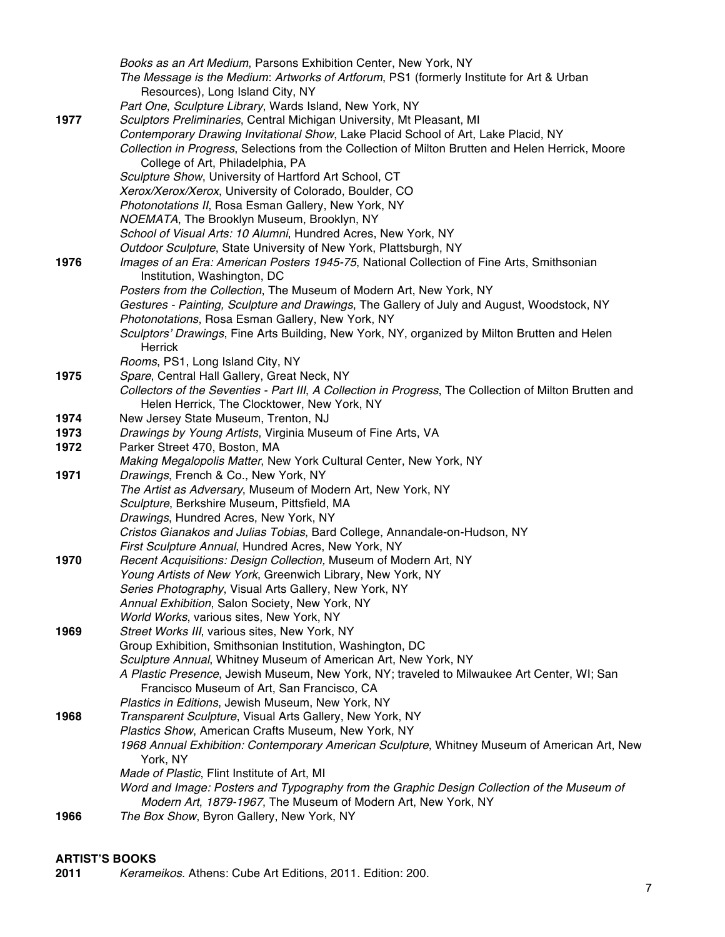|      | Books as an Art Medium, Parsons Exhibition Center, New York, NY                                                                                       |
|------|-------------------------------------------------------------------------------------------------------------------------------------------------------|
|      | The Message is the Medium: Artworks of Artforum, PS1 (formerly Institute for Art & Urban                                                              |
|      | Resources), Long Island City, NY                                                                                                                      |
|      | Part One, Sculpture Library, Wards Island, New York, NY                                                                                               |
| 1977 | Sculptors Preliminaries, Central Michigan University, Mt Pleasant, MI                                                                                 |
|      | Contemporary Drawing Invitational Show, Lake Placid School of Art, Lake Placid, NY                                                                    |
|      | Collection in Progress, Selections from the Collection of Milton Brutten and Helen Herrick, Moore                                                     |
|      | College of Art, Philadelphia, PA                                                                                                                      |
|      | Sculpture Show, University of Hartford Art School, CT                                                                                                 |
|      | Xerox/Xerox/Xerox, University of Colorado, Boulder, CO                                                                                                |
|      | Photonotations II, Rosa Esman Gallery, New York, NY                                                                                                   |
|      | NOEMATA, The Brooklyn Museum, Brooklyn, NY                                                                                                            |
|      | School of Visual Arts: 10 Alumni, Hundred Acres, New York, NY                                                                                         |
|      | Outdoor Sculpture, State University of New York, Plattsburgh, NY                                                                                      |
| 1976 | Images of an Era: American Posters 1945-75, National Collection of Fine Arts, Smithsonian                                                             |
|      | Institution, Washington, DC                                                                                                                           |
|      | Posters from the Collection, The Museum of Modern Art, New York, NY                                                                                   |
|      | Gestures - Painting, Sculpture and Drawings, The Gallery of July and August, Woodstock, NY                                                            |
|      | Photonotations, Rosa Esman Gallery, New York, NY                                                                                                      |
|      | Sculptors' Drawings, Fine Arts Building, New York, NY, organized by Milton Brutten and Helen                                                          |
|      | Herrick                                                                                                                                               |
| 1975 | Rooms, PS1, Long Island City, NY                                                                                                                      |
|      | Spare, Central Hall Gallery, Great Neck, NY<br>Collectors of the Seventies - Part III, A Collection in Progress, The Collection of Milton Brutten and |
|      | Helen Herrick, The Clocktower, New York, NY                                                                                                           |
| 1974 | New Jersey State Museum, Trenton, NJ                                                                                                                  |
| 1973 | Drawings by Young Artists, Virginia Museum of Fine Arts, VA                                                                                           |
| 1972 | Parker Street 470, Boston, MA                                                                                                                         |
|      | Making Megalopolis Matter, New York Cultural Center, New York, NY                                                                                     |
| 1971 | Drawings, French & Co., New York, NY                                                                                                                  |
|      | The Artist as Adversary, Museum of Modern Art, New York, NY                                                                                           |
|      | Sculpture, Berkshire Museum, Pittsfield, MA                                                                                                           |
|      | Drawings, Hundred Acres, New York, NY                                                                                                                 |
|      | Cristos Gianakos and Julias Tobias, Bard College, Annandale-on-Hudson, NY                                                                             |
|      | First Sculpture Annual, Hundred Acres, New York, NY                                                                                                   |
| 1970 | Recent Acquisitions: Design Collection, Museum of Modern Art, NY                                                                                      |
|      | Young Artists of New York, Greenwich Library, New York, NY                                                                                            |
|      | Series Photography, Visual Arts Gallery, New York, NY                                                                                                 |
|      | Annual Exhibition, Salon Society, New York, NY                                                                                                        |
|      | World Works, various sites, New York, NY                                                                                                              |
| 1969 | Street Works III, various sites, New York, NY                                                                                                         |
|      | Group Exhibition, Smithsonian Institution, Washington, DC                                                                                             |
|      | Sculpture Annual, Whitney Museum of American Art, New York, NY                                                                                        |
|      | A Plastic Presence, Jewish Museum, New York, NY; traveled to Milwaukee Art Center, WI; San                                                            |
|      | Francisco Museum of Art, San Francisco, CA                                                                                                            |
|      | Plastics in Editions, Jewish Museum, New York, NY                                                                                                     |
| 1968 | Transparent Sculpture, Visual Arts Gallery, New York, NY                                                                                              |
|      | Plastics Show, American Crafts Museum, New York, NY<br>1968 Annual Exhibition: Contemporary American Sculpture, Whitney Museum of American Art, New   |
|      | York, NY                                                                                                                                              |
|      | Made of Plastic, Flint Institute of Art, MI                                                                                                           |
|      | Word and Image: Posters and Typography from the Graphic Design Collection of the Museum of                                                            |
|      | Modern Art, 1879-1967, The Museum of Modern Art, New York, NY                                                                                         |
| 1966 | The Box Show, Byron Gallery, New York, NY                                                                                                             |
|      |                                                                                                                                                       |

# **ARTIST'S BOOKS**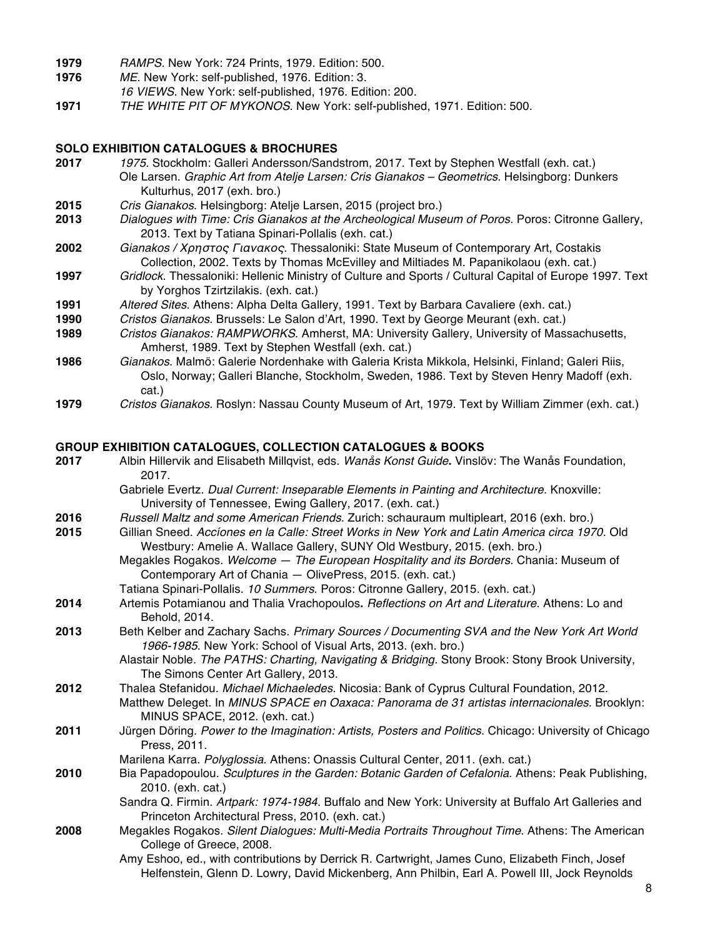- **1979** *RAMPS*. New York: 724 Prints, 1979. Edition: 500.
- **1976** *ME*. New York: self-published, 1976. Edition: 3.
- *16 VIEWS*. New York: self-published, 1976. Edition: 200.
- **1971** *THE WHITE PIT OF MYKONOS*. New York: self-published, 1971. Edition: 500.

#### **SOLO EXHIBITION CATALOGUES & BROCHURES**

- **2017** *1975*. Stockholm: Galleri Andersson/Sandstrom, 2017. Text by Stephen Westfall (exh. cat.) Ole Larsen. *Graphic Art from Atelje Larsen: Cris Gianakos – Geometrics*. Helsingborg: Dunkers Kulturhus, 2017 (exh. bro.)
- **2015** *Cris Gianakos*. Helsingborg: Atelje Larsen, 2015 (project bro.)
- **2013** *Dialogues with Time: Cris Gianakos at the Archeological Museum of Poros*. Poros: Citronne Gallery, 2013. Text by Tatiana Spinari-Pollalis (exh. cat.)
- **2002** *Gianakos /* Χρηστος Γιανακος. Thessaloniki: State Museum of Contemporary Art, Costakis Collection, 2002. Texts by Thomas McEvilley and Miltiades M. Papanikolaou (exh. cat.)
- **1997** *Gridlock*. Thessaloniki: Hellenic Ministry of Culture and Sports / Cultural Capital of Europe 1997. Text by Yorghos Tzirtzilakis. (exh. cat.)
- **1991** *Altered Sites*. Athens: Alpha Delta Gallery, 1991. Text by Barbara Cavaliere (exh. cat.)
- **1990** *Cristos Gianakos*. Brussels: Le Salon d'Art, 1990. Text by George Meurant (exh. cat.)
- **1989** *Cristos Gianakos: RAMPWORKS*. Amherst, MA: University Gallery, University of Massachusetts, Amherst, 1989. Text by Stephen Westfall (exh. cat.)
- **1986** *Gianakos*. Malmö: Galerie Nordenhake with Galeria Krista Mikkola, Helsinki, Finland; Galeri Riis, Oslo, Norway; Galleri Blanche, Stockholm, Sweden, 1986. Text by Steven Henry Madoff (exh. cat.)
- **1979** *Cristos Gianakos*. Roslyn: Nassau County Museum of Art, 1979. Text by William Zimmer (exh. cat.)

#### **GROUP EXHIBITION CATALOGUES, COLLECTION CATALOGUES & BOOKS**

| 2017 | Albin Hillervik and Elisabeth Millqvist, eds. Wanås Konst Guide. Vinslöv: The Wanås Foundation,<br>2017.                                                                     |
|------|------------------------------------------------------------------------------------------------------------------------------------------------------------------------------|
|      | Gabriele Evertz. Dual Current: Inseparable Elements in Painting and Architecture. Knoxville:<br>University of Tennessee, Ewing Gallery, 2017. (exh. cat.)                    |
| 2016 | Russell Maltz and some American Friends. Zurich: schauraum multipleart, 2016 (exh. bro.)                                                                                     |
| 2015 | Gillian Sneed. Accíones en la Calle: Street Works in New York and Latin America circa 1970. Old<br>Westbury: Amelie A. Wallace Gallery, SUNY Old Westbury, 2015. (exh. bro.) |
|      | Megakles Rogakos. Welcome - The European Hospitality and its Borders. Chania: Museum of<br>Contemporary Art of Chania - OlivePress, 2015. (exh. cat.)                        |
|      | Tatiana Spinari-Pollalis. 10 Summers. Poros: Citronne Gallery, 2015. (exh. cat.)                                                                                             |
| 2014 | Artemis Potamianou and Thalia Vrachopoulos. Reflections on Art and Literature. Athens: Lo and<br>Behold, 2014.                                                               |
| 2013 | Beth Kelber and Zachary Sachs. Primary Sources / Documenting SVA and the New York Art World<br>1966-1985. New York: School of Visual Arts, 2013. (exh. bro.)                 |
|      | Alastair Noble. The PATHS: Charting, Navigating & Bridging. Stony Brook: Stony Brook University,<br>The Simons Center Art Gallery, 2013.                                     |
| 2012 | Thalea Stefanidou. Michael Michaeledes. Nicosia: Bank of Cyprus Cultural Foundation, 2012.                                                                                   |
|      | Matthew Deleget. In MINUS SPACE en Oaxaca: Panorama de 31 artistas internacionales. Brooklyn:<br>MINUS SPACE, 2012. (exh. cat.)                                              |
| 2011 | Jürgen Döring. Power to the Imagination: Artists, Posters and Politics. Chicago: University of Chicago<br>Press, 2011.                                                       |
|      | Marilena Karra. Polyglossia. Athens: Onassis Cultural Center, 2011. (exh. cat.)                                                                                              |
| 2010 | Bia Papadopoulou. Sculptures in the Garden: Botanic Garden of Cefalonia. Athens: Peak Publishing,<br>2010. (exh. cat.)                                                       |
|      | Sandra Q. Firmin. Artpark: 1974-1984. Buffalo and New York: University at Buffalo Art Galleries and<br>Princeton Architectural Press, 2010. (exh. cat.)                      |
| 2008 | Megakles Rogakos. Silent Dialogues: Multi-Media Portraits Throughout Time. Athens: The American<br>College of Greece, 2008.                                                  |
|      | Amy Eshoo, ed., with contributions by Derrick R. Cartwright, James Cuno, Elizabeth Finch, Josef                                                                              |
|      | Helfenstein, Glenn D. Lowry, David Mickenberg, Ann Philbin, Earl A. Powell III, Jock Reynolds                                                                                |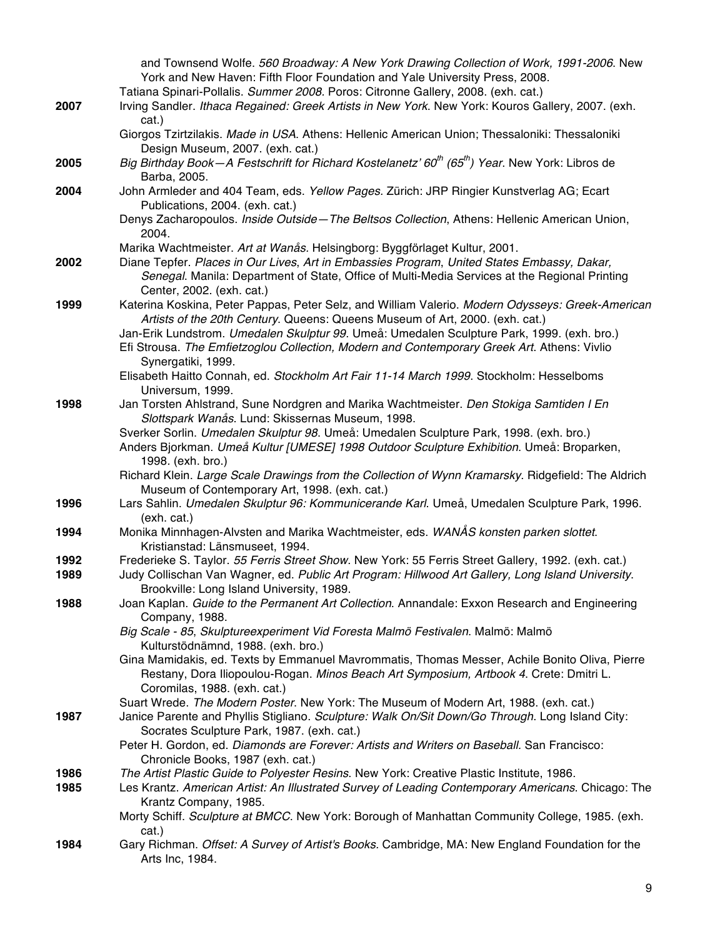|      | and Townsend Wolfe. 560 Broadway: A New York Drawing Collection of Work, 1991-2006. New<br>York and New Haven: Fifth Floor Foundation and Yale University Press, 2008.                                                   |
|------|--------------------------------------------------------------------------------------------------------------------------------------------------------------------------------------------------------------------------|
|      | Tatiana Spinari-Pollalis. Summer 2008. Poros: Citronne Gallery, 2008. (exh. cat.)                                                                                                                                        |
| 2007 | Irving Sandler. Ithaca Regained: Greek Artists in New York. New York: Kouros Gallery, 2007. (exh.<br>cat.)                                                                                                               |
|      | Giorgos Tzirtzilakis. Made in USA. Athens: Hellenic American Union; Thessaloniki: Thessaloniki<br>Design Museum, 2007. (exh. cat.)                                                                                       |
| 2005 | Big Birthday Book - A Festschrift for Richard Kostelanetz' $60^{th}$ ( $65^{th}$ ) Year. New York: Libros de<br>Barba, 2005.                                                                                             |
| 2004 | John Armleder and 404 Team, eds. Yellow Pages. Zürich: JRP Ringier Kunstverlag AG; Ecart<br>Publications, 2004. (exh. cat.)                                                                                              |
|      | Denys Zacharopoulos. Inside Outside-The Beltsos Collection, Athens: Hellenic American Union,<br>2004.                                                                                                                    |
|      | Marika Wachtmeister. Art at Wanås. Helsingborg: Byggförlaget Kultur, 2001.                                                                                                                                               |
| 2002 | Diane Tepfer. Places in Our Lives, Art in Embassies Program, United States Embassy, Dakar,<br>Senegal. Manila: Department of State, Office of Multi-Media Services at the Regional Printing<br>Center, 2002. (exh. cat.) |
| 1999 | Katerina Koskina, Peter Pappas, Peter Selz, and William Valerio. Modern Odysseys: Greek-American<br>Artists of the 20th Century. Queens: Queens Museum of Art, 2000. (exh. cat.)                                         |
|      | Jan-Erik Lundstrom. Umedalen Skulptur 99. Umeå: Umedalen Sculpture Park, 1999. (exh. bro.)                                                                                                                               |
|      | Efi Strousa. The Emfietzoglou Collection, Modern and Contemporary Greek Art. Athens: Vivlio<br>Synergatiki, 1999.                                                                                                        |
|      | Elisabeth Haitto Connah, ed. Stockholm Art Fair 11-14 March 1999. Stockholm: Hesselboms<br>Universum, 1999.                                                                                                              |
| 1998 | Jan Torsten Ahlstrand, Sune Nordgren and Marika Wachtmeister. Den Stokiga Samtiden I En                                                                                                                                  |
|      | Slottspark Wanås. Lund: Skissernas Museum, 1998.                                                                                                                                                                         |
|      | Sverker Sorlin. Umedalen Skulptur 98. Umeå: Umedalen Sculpture Park, 1998. (exh. bro.)                                                                                                                                   |
|      | Anders Bjorkman. Umeå Kultur [UMESE] 1998 Outdoor Sculpture Exhibition. Umeå: Broparken,                                                                                                                                 |
|      | 1998. (exh. bro.)<br>Richard Klein. Large Scale Drawings from the Collection of Wynn Kramarsky. Ridgefield: The Aldrich                                                                                                  |
|      | Museum of Contemporary Art, 1998. (exh. cat.)                                                                                                                                                                            |
| 1996 | Lars Sahlin. Umedalen Skulptur 96: Kommunicerande Karl. Umeå, Umedalen Sculpture Park, 1996.<br>(exh. cat.)                                                                                                              |
| 1994 | Monika Minnhagen-Alvsten and Marika Wachtmeister, eds. WANÅS konsten parken slottet.<br>Kristianstad: Länsmuseet, 1994.                                                                                                  |
| 1992 | Frederieke S. Taylor. 55 Ferris Street Show. New York: 55 Ferris Street Gallery, 1992. (exh. cat.)                                                                                                                       |
| 1989 | Judy Collischan Van Wagner, ed. Public Art Program: Hillwood Art Gallery, Long Island University.<br>Brookville: Long Island University, 1989.                                                                           |
| 1988 | Joan Kaplan. Guide to the Permanent Art Collection. Annandale: Exxon Research and Engineering                                                                                                                            |
|      | Company, 1988.<br>Big Scale - 85, Skulptureexperiment Vid Foresta Malmö Festivalen. Malmö: Malmö                                                                                                                         |
|      | Kulturstödnämnd, 1988. (exh. bro.)                                                                                                                                                                                       |
|      | Gina Mamidakis, ed. Texts by Emmanuel Mavrommatis, Thomas Messer, Achile Bonito Oliva, Pierre                                                                                                                            |
|      | Restany, Dora Iliopoulou-Rogan. Minos Beach Art Symposium, Artbook 4. Crete: Dmitri L.<br>Coromilas, 1988. (exh. cat.)                                                                                                   |
|      | Suart Wrede. The Modern Poster. New York: The Museum of Modern Art, 1988. (exh. cat.)                                                                                                                                    |
| 1987 | Janice Parente and Phyllis Stigliano. Sculpture: Walk On/Sit Down/Go Through. Long Island City:<br>Socrates Sculpture Park, 1987. (exh. cat.)                                                                            |
|      | Peter H. Gordon, ed. Diamonds are Forever: Artists and Writers on Baseball. San Francisco:                                                                                                                               |
| 1986 | Chronicle Books, 1987 (exh. cat.)<br>The Artist Plastic Guide to Polyester Resins. New York: Creative Plastic Institute, 1986.                                                                                           |
| 1985 | Les Krantz. American Artist: An Illustrated Survey of Leading Contemporary Americans. Chicago: The<br>Krantz Company, 1985.                                                                                              |
|      | Morty Schiff. Sculpture at BMCC. New York: Borough of Manhattan Community College, 1985. (exh.<br>cat.)                                                                                                                  |
| 1984 | Gary Richman. Offset: A Survey of Artist's Books. Cambridge, MA: New England Foundation for the<br>Arts Inc, 1984.                                                                                                       |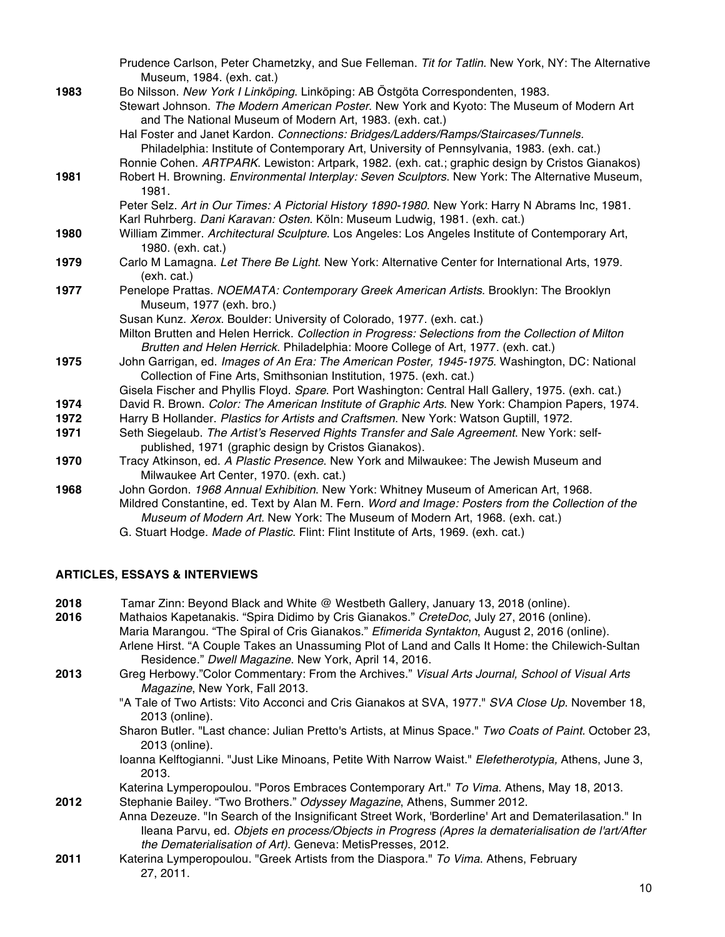|      | Prudence Carlson, Peter Chametzky, and Sue Felleman. Tit for Tatlin. New York, NY: The Alternative                                                                                                                                                                                                                                                                                                                                                        |
|------|-----------------------------------------------------------------------------------------------------------------------------------------------------------------------------------------------------------------------------------------------------------------------------------------------------------------------------------------------------------------------------------------------------------------------------------------------------------|
| 1983 | Museum, 1984. (exh. cat.)<br>Bo Nilsson. New York I Linköping. Linköping: AB Östgöta Correspondenten, 1983.<br>Stewart Johnson. The Modern American Poster. New York and Kyoto: The Museum of Modern Art<br>and The National Museum of Modern Art, 1983. (exh. cat.)<br>Hal Foster and Janet Kardon. Connections: Bridges/Ladders/Ramps/Staircases/Tunnels.<br>Philadelphia: Institute of Contemporary Art, University of Pennsylvania, 1983. (exh. cat.) |
|      | Ronnie Cohen. ARTPARK. Lewiston: Artpark, 1982. (exh. cat.; graphic design by Cristos Gianakos)                                                                                                                                                                                                                                                                                                                                                           |
| 1981 | Robert H. Browning. Environmental Interplay: Seven Sculptors. New York: The Alternative Museum,<br>1981.                                                                                                                                                                                                                                                                                                                                                  |
|      | Peter Selz. Art in Our Times: A Pictorial History 1890-1980. New York: Harry N Abrams Inc, 1981.<br>Karl Ruhrberg. Dani Karavan: Osten. Köln: Museum Ludwig, 1981. (exh. cat.)                                                                                                                                                                                                                                                                            |
| 1980 | William Zimmer. Architectural Sculpture. Los Angeles: Los Angeles Institute of Contemporary Art,<br>1980. (exh. cat.)                                                                                                                                                                                                                                                                                                                                     |
| 1979 | Carlo M Lamagna. Let There Be Light. New York: Alternative Center for International Arts, 1979.<br>(exh. cat.)                                                                                                                                                                                                                                                                                                                                            |
| 1977 | Penelope Prattas. NOEMATA: Contemporary Greek American Artists. Brooklyn: The Brooklyn<br>Museum, 1977 (exh. bro.)                                                                                                                                                                                                                                                                                                                                        |
|      | Susan Kunz. Xerox. Boulder: University of Colorado, 1977. (exh. cat.)                                                                                                                                                                                                                                                                                                                                                                                     |
|      | Milton Brutten and Helen Herrick. Collection in Progress: Selections from the Collection of Milton<br>Brutten and Helen Herrick. Philadelphia: Moore College of Art, 1977. (exh. cat.)                                                                                                                                                                                                                                                                    |
| 1975 | John Garrigan, ed. Images of An Era: The American Poster, 1945-1975. Washington, DC: National<br>Collection of Fine Arts, Smithsonian Institution, 1975. (exh. cat.)                                                                                                                                                                                                                                                                                      |
| 1974 | Gisela Fischer and Phyllis Floyd. Spare. Port Washington: Central Hall Gallery, 1975. (exh. cat.)<br>David R. Brown. Color: The American Institute of Graphic Arts. New York: Champion Papers, 1974.                                                                                                                                                                                                                                                      |
| 1972 | Harry B Hollander. Plastics for Artists and Craftsmen. New York: Watson Guptill, 1972.                                                                                                                                                                                                                                                                                                                                                                    |
| 1971 | Seth Siegelaub. The Artist's Reserved Rights Transfer and Sale Agreement. New York: self-<br>published, 1971 (graphic design by Cristos Gianakos).                                                                                                                                                                                                                                                                                                        |
| 1970 | Tracy Atkinson, ed. A Plastic Presence. New York and Milwaukee: The Jewish Museum and                                                                                                                                                                                                                                                                                                                                                                     |
|      | Milwaukee Art Center, 1970. (exh. cat.)                                                                                                                                                                                                                                                                                                                                                                                                                   |
| 1968 | John Gordon. 1968 Annual Exhibition. New York: Whitney Museum of American Art, 1968.                                                                                                                                                                                                                                                                                                                                                                      |
|      | Mildred Constantine, ed. Text by Alan M. Fern. Word and Image: Posters from the Collection of the<br>Museum of Modern Art. New York: The Museum of Modern Art, 1968. (exh. cat.)                                                                                                                                                                                                                                                                          |

G. Stuart Hodge. *Made of Plastic*. Flint: Flint Institute of Arts, 1969. (exh. cat.)

### **ARTICLES, ESSAYS & INTERVIEWS**

**2018** Tamar Zinn: Beyond Black and White @ Westbeth Gallery, January 13, 2018 (online).

- **2016** Mathaios Kapetanakis. "Spira Didimo by Cris Gianakos." *CreteDoc*, July 27, 2016 (online). Maria Marangou. "The Spiral of Cris Gianakos." *Efimerida Syntakton*, August 2, 2016 (online). Arlene Hirst. "A Couple Takes an Unassuming Plot of Land and Calls It Home: the Chilewich-Sultan Residence." *Dwell Magazine*. New York, April 14, 2016.
- **2013** Greg Herbowy."Color Commentary: From the Archives." *Visual Arts Journal, School of Visual Arts Magazine*, New York, Fall 2013.
	- "A Tale of Two Artists: Vito Acconci and Cris Gianakos at SVA, 1977." *SVA Close Up*. November 18, 2013 (online).
	- Sharon Butler. "Last chance: Julian Pretto's Artists, at Minus Space." *Two Coats of Paint.* October 23, 2013 (online).
	- Ioanna Kelftogianni. "Just Like Minoans, Petite With Narrow Waist." *Elefetherotypia,* Athens, June 3, 2013.

Katerina Lymperopoulou. "Poros Embraces Contemporary Art." *To Vima*. Athens, May 18, 2013. **2012** Stephanie Bailey. "Two Brothers." *Odyssey Magazine*, Athens, Summer 2012.

- Anna Dezeuze. "In Search of the Insignificant Street Work, 'Borderline' Art and Dematerilasation." In Ileana Parvu, ed. *Objets en process/Objects in Progress (Apres la dematerialisation de l'art/After the Dematerialisation of Art)*. Geneva: MetisPresses, 2012.
- **2011** Katerina Lymperopoulou. "Greek Artists from the Diaspora." *To Vima*. Athens, February 27, 2011.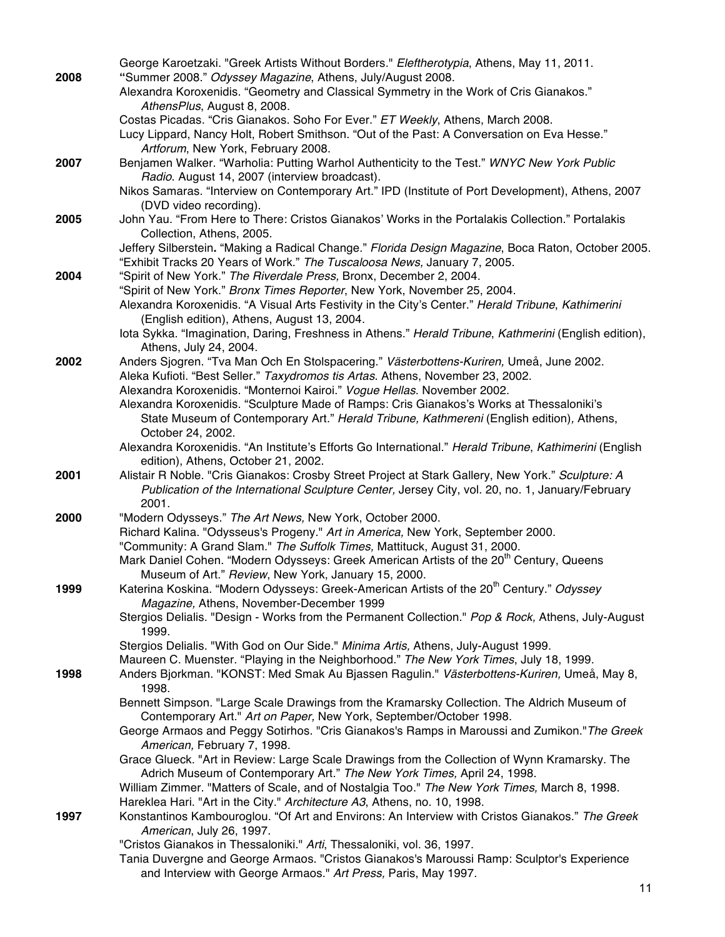|      | George Karoetzaki. "Greek Artists Without Borders." Eleftherotypia, Athens, May 11, 2011.              |
|------|--------------------------------------------------------------------------------------------------------|
| 2008 | "Summer 2008." Odyssey Magazine, Athens, July/August 2008.                                             |
|      | Alexandra Koroxenidis. "Geometry and Classical Symmetry in the Work of Cris Gianakos."                 |
|      | AthensPlus, August 8, 2008.                                                                            |
|      | Costas Picadas. "Cris Gianakos. Soho For Ever." ET Weekly, Athens, March 2008.                         |
|      | Lucy Lippard, Nancy Holt, Robert Smithson. "Out of the Past: A Conversation on Eva Hesse."             |
|      | Artforum, New York, February 2008.                                                                     |
| 2007 | Benjamen Walker. "Warholia: Putting Warhol Authenticity to the Test." WNYC New York Public             |
|      | Radio. August 14, 2007 (interview broadcast).                                                          |
|      | Nikos Samaras. "Interview on Contemporary Art." IPD (Institute of Port Development), Athens, 2007      |
|      |                                                                                                        |
|      | (DVD video recording).                                                                                 |
| 2005 | John Yau. "From Here to There: Cristos Gianakos' Works in the Portalakis Collection." Portalakis       |
|      | Collection, Athens, 2005.                                                                              |
|      | Jeffery Silberstein. "Making a Radical Change." Florida Design Magazine, Boca Raton, October 2005.     |
|      | "Exhibit Tracks 20 Years of Work." The Tuscaloosa News, January 7, 2005.                               |
| 2004 | "Spirit of New York." The Riverdale Press, Bronx, December 2, 2004.                                    |
|      | "Spirit of New York." Bronx Times Reporter, New York, November 25, 2004.                               |
|      | Alexandra Koroxenidis. "A Visual Arts Festivity in the City's Center." Herald Tribune, Kathimerini     |
|      | (English edition), Athens, August 13, 2004.                                                            |
|      | lota Sykka. "Imagination, Daring, Freshness in Athens." Herald Tribune, Kathmerini (English edition),  |
|      | Athens, July 24, 2004.                                                                                 |
| 2002 | Anders Sjogren. "Tva Man Och En Stolspacering." Västerbottens-Kuriren, Umeå, June 2002.                |
|      | Aleka Kufioti. "Best Seller." Taxydromos tis Artas. Athens, November 23, 2002.                         |
|      | Alexandra Koroxenidis. "Monternoi Kairoi." Vogue Hellas. November 2002.                                |
|      | Alexandra Koroxenidis. "Sculpture Made of Ramps: Cris Gianakos's Works at Thessaloniki's               |
|      | State Museum of Contemporary Art." Herald Tribune, Kathmereni (English edition), Athens,               |
|      | October 24, 2002.                                                                                      |
|      | Alexandra Koroxenidis. "An Institute's Efforts Go International." Herald Tribune, Kathimerini (English |
|      | edition), Athens, October 21, 2002.                                                                    |
| 2001 | Alistair R Noble. "Cris Gianakos: Crosby Street Project at Stark Gallery, New York." Sculpture: A      |
|      | Publication of the International Sculpture Center, Jersey City, vol. 20, no. 1, January/February       |
|      | 2001.                                                                                                  |
| 2000 | "Modern Odysseys." The Art News, New York, October 2000.                                               |
|      | Richard Kalina. "Odysseus's Progeny." Art in America, New York, September 2000.                        |
|      | "Community: A Grand Slam." The Suffolk Times, Mattituck, August 31, 2000.                              |
|      | Mark Daniel Cohen. "Modern Odysseys: Greek American Artists of the 20 <sup>th</sup> Century, Queens    |
|      | Museum of Art." Review, New York, January 15, 2000.                                                    |
| 1999 | Katerina Koskina. "Modern Odysseys: Greek-American Artists of the 20 <sup>th</sup> Century." Odyssey   |
|      | Magazine, Athens, November-December 1999                                                               |
|      | Stergios Delialis. "Design - Works from the Permanent Collection." Pop & Rock, Athens, July-August     |
|      | 1999.                                                                                                  |
|      | Stergios Delialis. "With God on Our Side." Minima Artis, Athens, July-August 1999.                     |
|      | Maureen C. Muenster. "Playing in the Neighborhood." The New York Times, July 18, 1999.                 |
|      |                                                                                                        |
| 1998 | Anders Bjorkman. "KONST: Med Smak Au Bjassen Ragulin." Västerbottens-Kuriren, Umeå, May 8,             |
|      | 1998.                                                                                                  |
|      | Bennett Simpson. "Large Scale Drawings from the Kramarsky Collection. The Aldrich Museum of            |
|      | Contemporary Art." Art on Paper, New York, September/October 1998.                                     |
|      | George Armaos and Peggy Sotirhos. "Cris Gianakos's Ramps in Maroussi and Zumikon." The Greek           |
|      | American, February 7, 1998.                                                                            |
|      | Grace Glueck. "Art in Review: Large Scale Drawings from the Collection of Wynn Kramarsky. The          |
|      | Adrich Museum of Contemporary Art." The New York Times, April 24, 1998.                                |
|      | William Zimmer. "Matters of Scale, and of Nostalgia Too." The New York Times, March 8, 1998.           |
|      | Hareklea Hari. "Art in the City." Architecture A3, Athens, no. 10, 1998.                               |
| 1997 | Konstantinos Kambouroglou. "Of Art and Environs: An Interview with Cristos Gianakos." The Greek        |
|      | American, July 26, 1997.                                                                               |
|      | "Cristos Gianakos in Thessaloniki." Arti, Thessaloniki, vol. 36, 1997.                                 |
|      | Tania Duvergne and George Armaos. "Cristos Gianakos's Maroussi Ramp: Sculptor's Experience             |
|      | and Interview with George Armaos." Art Press, Paris, May 1997.                                         |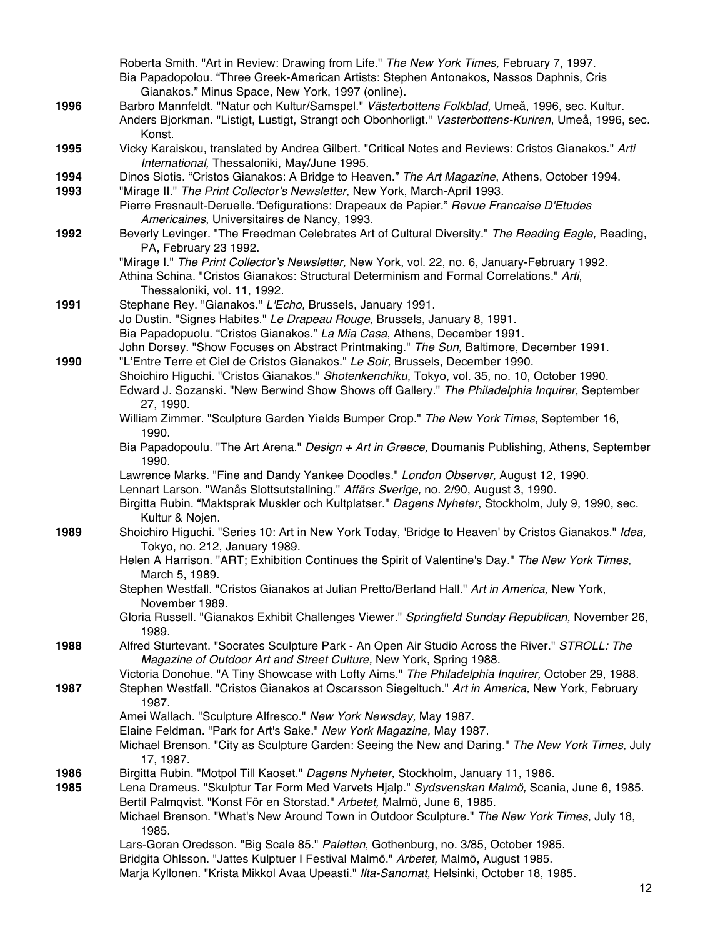|      | Roberta Smith. "Art in Review: Drawing from Life." The New York Times, February 7, 1997.                                                                                      |
|------|-------------------------------------------------------------------------------------------------------------------------------------------------------------------------------|
|      | Bia Papadopolou. "Three Greek-American Artists: Stephen Antonakos, Nassos Daphnis, Cris                                                                                       |
|      | Gianakos." Minus Space, New York, 1997 (online).                                                                                                                              |
| 1996 | Barbro Mannfeldt. "Natur och Kultur/Samspel." Västerbottens Folkblad, Umeå, 1996, sec. Kultur.                                                                                |
|      | Anders Bjorkman. "Listigt, Lustigt, Strangt och Obonhorligt." Vasterbottens-Kuriren, Umeå, 1996, sec.<br>Konst.                                                               |
| 1995 | Vicky Karaiskou, translated by Andrea Gilbert. "Critical Notes and Reviews: Cristos Gianakos." Arti<br>International, Thessaloniki, May/June 1995.                            |
| 1994 | Dinos Siotis. "Cristos Gianakos: A Bridge to Heaven." The Art Magazine, Athens, October 1994.                                                                                 |
| 1993 | "Mirage II." The Print Collector's Newsletter, New York, March-April 1993.                                                                                                    |
|      | Pierre Fresnault-Deruelle. "Defigurations: Drapeaux de Papier." Revue Francaise D'Etudes<br>Americaines, Universitaires de Nancy, 1993.                                       |
| 1992 | Beverly Levinger. "The Freedman Celebrates Art of Cultural Diversity." The Reading Eagle, Reading,                                                                            |
|      | PA, February 23 1992.                                                                                                                                                         |
|      | "Mirage I." The Print Collector's Newsletter, New York, vol. 22, no. 6, January-February 1992.                                                                                |
|      | Athina Schina. "Cristos Gianakos: Structural Determinism and Formal Correlations." Arti,                                                                                      |
|      | Thessaloniki, vol. 11, 1992.                                                                                                                                                  |
| 1991 | Stephane Rey. "Gianakos." L'Echo, Brussels, January 1991.                                                                                                                     |
|      | Jo Dustin. "Signes Habites." Le Drapeau Rouge, Brussels, January 8, 1991.<br>Bia Papadopuolu. "Cristos Gianakos." La Mia Casa, Athens, December 1991.                         |
|      | John Dorsey. "Show Focuses on Abstract Printmaking." The Sun, Baltimore, December 1991.                                                                                       |
| 1990 | "L'Entre Terre et Ciel de Cristos Gianakos." Le Soir, Brussels, December 1990.                                                                                                |
|      | Shoichiro Higuchi. "Cristos Gianakos." Shotenkenchiku, Tokyo, vol. 35, no. 10, October 1990.                                                                                  |
|      | Edward J. Sozanski. "New Berwind Show Shows off Gallery." The Philadelphia Inquirer, September                                                                                |
|      | 27, 1990.                                                                                                                                                                     |
|      | William Zimmer. "Sculpture Garden Yields Bumper Crop." The New York Times, September 16,<br>1990.                                                                             |
|      | Bia Papadopoulu. "The Art Arena." Design + Art in Greece, Doumanis Publishing, Athens, September<br>1990.                                                                     |
|      | Lawrence Marks. "Fine and Dandy Yankee Doodles." London Observer, August 12, 1990.                                                                                            |
|      | Lennart Larson. "Wanås Slottsutstallning." Affärs Sverige, no. 2/90, August 3, 1990.                                                                                          |
|      | Birgitta Rubin. "Maktsprak Muskler och Kultplatser." Dagens Nyheter, Stockholm, July 9, 1990, sec.<br>Kultur & Nojen.                                                         |
| 1989 | Shoichiro Higuchi. "Series 10: Art in New York Today, 'Bridge to Heaven' by Cristos Gianakos." Idea,                                                                          |
|      | Tokyo, no. 212, January 1989.                                                                                                                                                 |
|      | Helen A Harrison. "ART; Exhibition Continues the Spirit of Valentine's Day." The New York Times,                                                                              |
|      | March 5, 1989.                                                                                                                                                                |
|      | Stephen Westfall. "Cristos Gianakos at Julian Pretto/Berland Hall." Art in America, New York,                                                                                 |
|      | November 1989.                                                                                                                                                                |
|      | Gloria Russell. "Gianakos Exhibit Challenges Viewer." Springfield Sunday Republican, November 26,<br>1989.                                                                    |
| 1988 | Alfred Sturtevant. "Socrates Sculpture Park - An Open Air Studio Across the River." STROLL: The                                                                               |
|      | Magazine of Outdoor Art and Street Culture, New York, Spring 1988.                                                                                                            |
|      | Victoria Donohue. "A Tiny Showcase with Lofty Aims." The Philadelphia Inquirer, October 29, 1988.                                                                             |
| 1987 | Stephen Westfall. "Cristos Gianakos at Oscarsson Siegeltuch." Art in America, New York, February<br>1987.                                                                     |
|      | Amei Wallach. "Sculpture Alfresco." New York Newsday, May 1987.                                                                                                               |
|      | Elaine Feldman. "Park for Art's Sake." New York Magazine, May 1987.                                                                                                           |
|      | Michael Brenson. "City as Sculpture Garden: Seeing the New and Daring." The New York Times, July<br>17, 1987.                                                                 |
| 1986 | Birgitta Rubin. "Motpol Till Kaoset." Dagens Nyheter, Stockholm, January 11, 1986.                                                                                            |
| 1985 | Lena Drameus. "Skulptur Tar Form Med Varvets Hjalp." Sydsvenskan Malmö, Scania, June 6, 1985.                                                                                 |
|      | Bertil Palmqvist. "Konst För en Storstad." Arbetet, Malmö, June 6, 1985.                                                                                                      |
|      | Michael Brenson. "What's New Around Town in Outdoor Sculpture." The New York Times, July 18,                                                                                  |
|      | 1985.                                                                                                                                                                         |
|      | Lars-Goran Oredsson. "Big Scale 85." Paletten, Gothenburg, no. 3/85, October 1985.                                                                                            |
|      | Bridgita Ohlsson. "Jattes Kulptuer I Festival Malmö." Arbetet, Malmö, August 1985.<br>Marja Kyllonen. "Krista Mikkol Avaa Upeasti." Ilta-Sanomat, Helsinki, October 18, 1985. |
|      |                                                                                                                                                                               |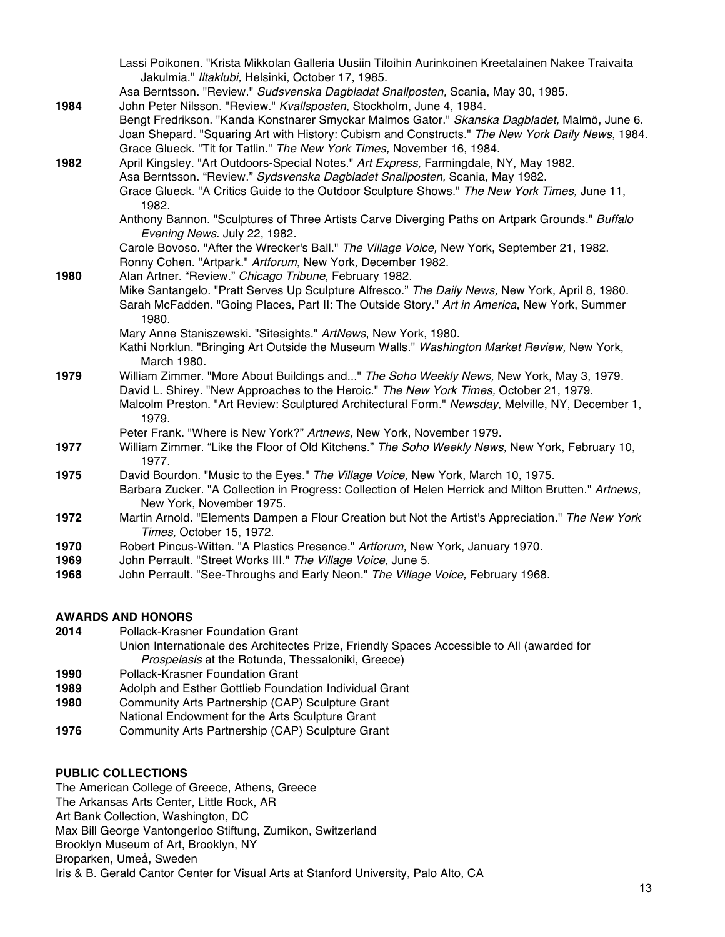|      | Lassi Poikonen. "Krista Mikkolan Galleria Uusiin Tiloihin Aurinkoinen Kreetalainen Nakee Traivaita                                                                                               |
|------|--------------------------------------------------------------------------------------------------------------------------------------------------------------------------------------------------|
|      | Jakulmia." Iltaklubi, Helsinki, October 17, 1985.                                                                                                                                                |
|      | Asa Berntsson. "Review." Sudsvenska Dagbladat Snallposten, Scania, May 30, 1985.                                                                                                                 |
| 1984 | John Peter Nilsson. "Review." Kvallsposten, Stockholm, June 4, 1984.                                                                                                                             |
|      | Bengt Fredrikson. "Kanda Konstnarer Smyckar Malmos Gator." Skanska Dagbladet, Malmö, June 6.<br>Joan Shepard. "Squaring Art with History: Cubism and Constructs." The New York Daily News, 1984. |
|      | Grace Glueck. "Tit for Tatlin." The New York Times, November 16, 1984.                                                                                                                           |
| 1982 | April Kingsley. "Art Outdoors-Special Notes." Art Express, Farmingdale, NY, May 1982.                                                                                                            |
|      | Asa Berntsson. "Review." Sydsvenska Dagbladet Snallposten, Scania, May 1982.                                                                                                                     |
|      | Grace Glueck. "A Critics Guide to the Outdoor Sculpture Shows." The New York Times, June 11,<br>1982.                                                                                            |
|      | Anthony Bannon. "Sculptures of Three Artists Carve Diverging Paths on Artpark Grounds." Buffalo<br>Evening News. July 22, 1982.                                                                  |
|      | Carole Bovoso. "After the Wrecker's Ball." The Village Voice, New York, September 21, 1982.<br>Ronny Cohen. "Artpark." Artforum, New York, December 1982.                                        |
| 1980 | Alan Artner. "Review." Chicago Tribune, February 1982.                                                                                                                                           |
|      | Mike Santangelo. "Pratt Serves Up Sculpture Alfresco." The Daily News, New York, April 8, 1980.                                                                                                  |
|      | Sarah McFadden. "Going Places, Part II: The Outside Story." Art in America, New York, Summer<br>1980.                                                                                            |
|      | Mary Anne Staniszewski. "Sitesights." ArtNews, New York, 1980.                                                                                                                                   |
|      | Kathi Norklun. "Bringing Art Outside the Museum Walls." Washington Market Review, New York,<br>March 1980.                                                                                       |
| 1979 | William Zimmer. "More About Buildings and" The Soho Weekly News, New York, May 3, 1979.                                                                                                          |
|      | David L. Shirey. "New Approaches to the Heroic." The New York Times, October 21, 1979.                                                                                                           |
|      | Malcolm Preston. "Art Review: Sculptured Architectural Form." Newsday, Melville, NY, December 1,<br>1979.                                                                                        |
|      | Peter Frank. "Where is New York?" Artnews, New York, November 1979.                                                                                                                              |
| 1977 | William Zimmer. "Like the Floor of Old Kitchens." The Soho Weekly News, New York, February 10,                                                                                                   |
|      | 1977.                                                                                                                                                                                            |
| 1975 | David Bourdon. "Music to the Eyes." The Village Voice, New York, March 10, 1975.                                                                                                                 |
|      | Barbara Zucker. "A Collection in Progress: Collection of Helen Herrick and Milton Brutten." Artnews,                                                                                             |
|      | New York, November 1975.                                                                                                                                                                         |
| 1972 | Martin Arnold. "Elements Dampen a Flour Creation but Not the Artist's Appreciation." The New York                                                                                                |
|      | Times, October 15, 1972.                                                                                                                                                                         |
| 1970 | Robert Pincus-Witten. "A Plastics Presence." Artforum, New York, January 1970.                                                                                                                   |
| 1969 | John Perrault. "Street Works III." The Village Voice, June 5.                                                                                                                                    |
|      |                                                                                                                                                                                                  |

## **AWARDS AND HONORS**

- **2014** Pollack-Krasner Foundation Grant
- Union Internationale des Architectes Prize, Friendly Spaces Accessible to All (awarded for *Prospelasis* at the Rotunda, Thessaloniki, Greece)
- **1990** Pollack-Krasner Foundation Grant
- **1989** Adolph and Esther Gottlieb Foundation Individual Grant
- **1980** Community Arts Partnership (CAP) Sculpture Grant
- National Endowment for the Arts Sculpture Grant
- **1976** Community Arts Partnership (CAP) Sculpture Grant

#### **PUBLIC COLLECTIONS**

The American College of Greece, Athens, Greece The Arkansas Arts Center, Little Rock, AR Art Bank Collection, Washington, DC Max Bill George Vantongerloo Stiftung, Zumikon, Switzerland Brooklyn Museum of Art, Brooklyn, NY Broparken, Umeå, Sweden Iris & B. Gerald Cantor Center for Visual Arts at Stanford University, Palo Alto, CA